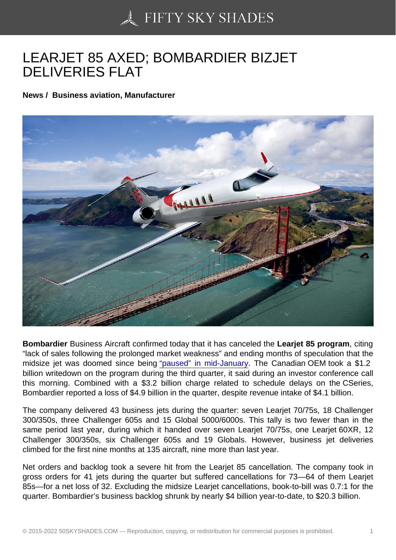## [LEARJET 85 AXED; B](https://50skyshades.com)OMBARDIER BIZJET DELIVERIES FLAT

News / Business aviation, Manufacturer

Bombardier Business Aircraft confirmed today that it has canceled the Learjet 85 program , citing "lack of sales following the prolonged market weakness" and ending months of speculation that the midsize jet was doomed since being "paused" in mid-January. The Canadian OEM took a \$1.2 billion writedown on the program during the third quarter, it said during an investor conference call this morning. Combined with a \$3.2 billion charge related to schedule delays on the CSeries, Bombardier reported a loss of \$4.9 billi[on in the quarter, despite](http://www.ainonline.com/aviation-news/business-aviation/2015-01-15/bombardier-halts-learjet-85-program) revenue intake of \$4.1 billion.

The company delivered 43 business jets during the quarter: seven Learjet 70/75s, 18 Challenger 300/350s, three Challenger 605s and 15 Global 5000/6000s. This tally is two fewer than in the same period last year, during which it handed over seven Learjet 70/75s, one Learjet 60XR, 12 Challenger 300/350s, six Challenger 605s and 19 Globals. However, business jet deliveries climbed for the first nine months at 135 aircraft, nine more than last year.

Net orders and backlog took a severe hit from the Learjet 85 cancellation. The company took in gross orders for 41 jets during the quarter but suffered cancellations for 73—64 of them Learjet 85s—for a net loss of 32. Excluding the midsize Learjet cancellations, book-to-bill was 0.7:1 for the quarter. Bombardier's business backlog shrunk by nearly \$4 billion year-to-date, to \$20.3 billion.